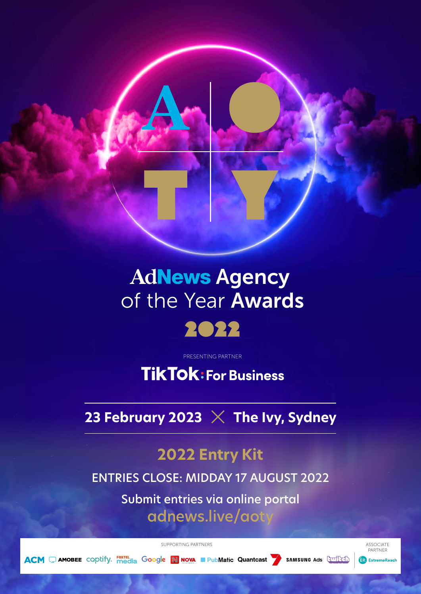### **AdNews Agency** of the Year Awards **Aure CIE TEAL AWARD**



PRESENTING PARTNER

**TikTok: For Business** 

23 February 2023  $\times$  The Ivy, Sydney

## **2022 Entry Kit**

ENTRIES CLOSE: MIDDAY 17 AUGUST 2022

Submit entries via online portal adnews.live/aot

SUPPORTING PARTNERS ASSOCIATE

**ACM J** AMOBEE COODITY. FOXTEL GOOGLE **NOW PubMatic Quantcast** SAMSUNG Ads Currich

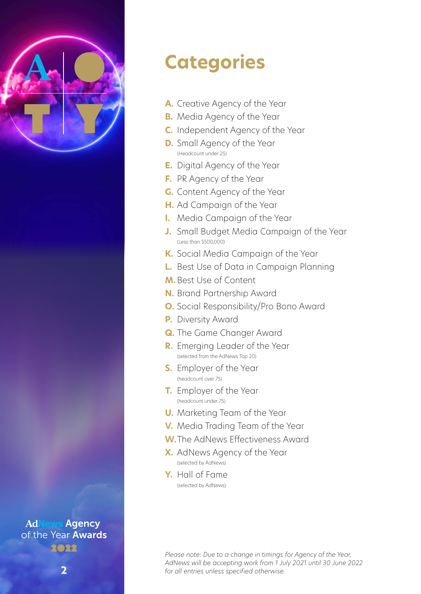

# **Categories**

- **A.** Creative Agency of the Year
- **B.** Media Agency of the Year
- **C.** Independent Agency of the Year
- **D.** Small Agency of the Year (Headcount under 25)
- **E.** Digital Agency of the Year
- **F.** PR Agency of the Year
- **G.** Content Agency of the Year
- **H.** Ad Campaign of the Year
- **I.** Media Campaign of the Year
- **J.** Small Budget Media Campaign of the Year (Less than \$500,000)
- **K.** Social Media Campaign of the Year
- **L.** Best Use of Data in Campaign Planning
- **M.** Best Use of Content
- **N.** Brand Partnership Award
- **O.** Social Responsibility/Pro Bono Award
- **P.** Diversity Award
- **Q.** The Game Changer Award
- **R.** Emerging Leader of the Year (selected from the AdNews Top 20)
- **S.** Employer of the Year (headcount over 75)
- **T.** Employer of the Year (headcount under 75)
- **U.** Marketing Team of the Year
- **V.** Media Trading Team of the Year
- **W.**The AdNews Effectiveness Award
- **X.** AdNews Agency of the Year (selected by AdNews)
- **Y.** Hall of Fame (selected by AdNews)

*Please note: Due to a change in timings for Agency of the Year, AdNews will be accepting work from 1 July 2021 until 30 June 2022 for all entries unless specified otherwise.*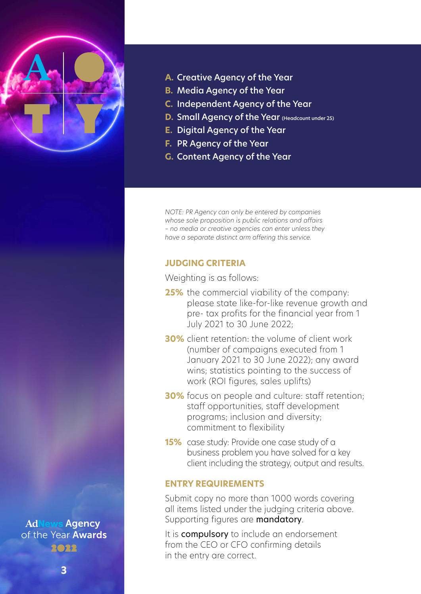

- **A.** Creative Agency of the Year
- **B.** Media Agency of the Year
- **C.** Independent Agency of the Year
- **D.** Small Agency of the Year (Headcount under 25)
- **E.** Digital Agency of the Year
- **F.** PR Agency of the Year
- **G.** Content Agency of the Year

*NOTE: PR Agency can only be entered by companies whose sole proposition is public relations and affairs – no media or creative agencies can enter unless they have a separate distinct arm offering this service.*

### **JUDGING CRITERIA**

Weighting is as follows:

- **25%** the commercial viability of the company: please state like-for-like revenue growth and pre- tax profits for the financial year from 1 July 2021 to 30 June 2022;
- **30%** client retention: the volume of client work (number of campaigns executed from 1 January 2021 to 30 June 2022); any award wins; statistics pointing to the success of work (ROI figures, sales uplifts)
- **30%** focus on people and culture: staff retention; staff opportunities, staff development programs; inclusion and diversity; commitment to flexibility
- **15%** case study: Provide one case study of a business problem you have solved for a key client including the strategy, output and results.

### **ENTRY REQUIREMENTS**

Submit copy no more than 1000 words covering all items listed under the judging criteria above. Supporting figures are **mandatory**.

It is **compulsory** to include an endorsement from the CEO or CFO confirming details in the entry are correct.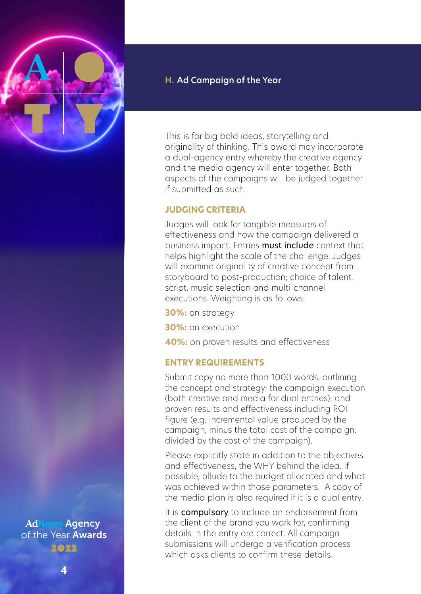**4**

### **H.** Ad Campaign of the Year

This is for big bold ideas, storytelling and originality of thinking. This award may incorporate a dual-agency entry whereby the creative agency and the media agency will enter together. Both aspects of the campaigns will be judged together if submitted as such.

### **JUDGING CRITERIA**

Judges will look for tangible measures of effectiveness and how the campaign delivered a business impact. Entries must include context that helps highlight the scale of the challenge. Judges will examine originality of creative concept from storyboard to post-production; choice of talent, script, music selection and multi-channel executions. Weighting is as follows:

**30%:** on strategy

**30%:** on execution

**40%:** on proven results and effectiveness

### **ENTRY REQUIREMENTS**

Submit copy no more than 1000 words, outlining the concept and strategy; the campaign execution (both creative and media for dual entries); and proven results and effectiveness including ROI figure (e.g. incremental value produced by the campaign, minus the total cost of the campaign, divided by the cost of the campaign).

Please explicitly state in addition to the objectives and effectiveness, the WHY behind the idea. If possible, allude to the budget allocated and what was achieved within those parameters. A copy of the media plan is also required if it is a dual entry.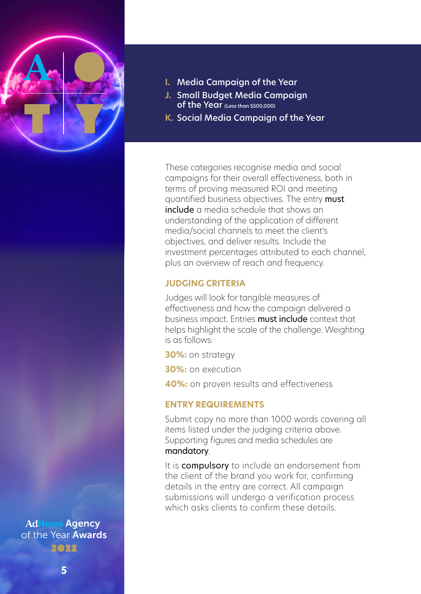

- **I.** Media Campaign of the Year
- **J.** Small Budget Media Campaign of the Year (Less than \$500,000)
- **K.** Social Media Campaign of the Year

These categories recognise media and social campaigns for their overall effectiveness, both in terms of proving measured ROI and meeting quantified business objectives. The entry must include a media schedule that shows an understanding of the application of different media/social channels to meet the client's objectives, and deliver results. Include the investment percentages attributed to each channel, plus an overview of reach and frequency.

### **JUDGING CRITERIA**

Judges will look for tangible measures of effectiveness and how the campaign delivered a business impact. Entries must include context that helps highlight the scale of the challenge. Weighting is as follows:

**30%:** on strategy

**30%:** on execution

**40%:** on proven results and effectiveness

### **ENTRY REQUIREMENTS**

Submit copy no more than 1000 words covering all items listed under the judging criteria above. Supporting figures and media schedules are mandatory.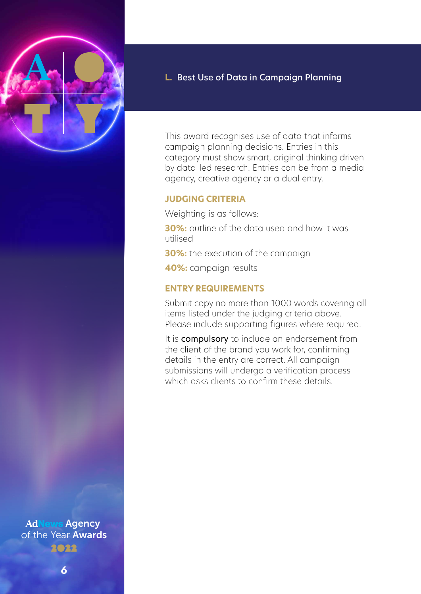

### **L.** Best Use of Data in Campaign Planning

This award recognises use of data that informs campaign planning decisions. Entries in this category must show smart, original thinking driven by data-led research. Entries can be from a media agency, creative agency or a dual entry.

### **JUDGING CRITERIA**

Weighting is as follows:

**30%:** outline of the data used and how it was utilised

**30%:** the execution of the campaign

**40%:** campaign results

### **ENTRY REQUIREMENTS**

Submit copy no more than 1000 words covering all items listed under the judging criteria above. Please include supporting figures where required.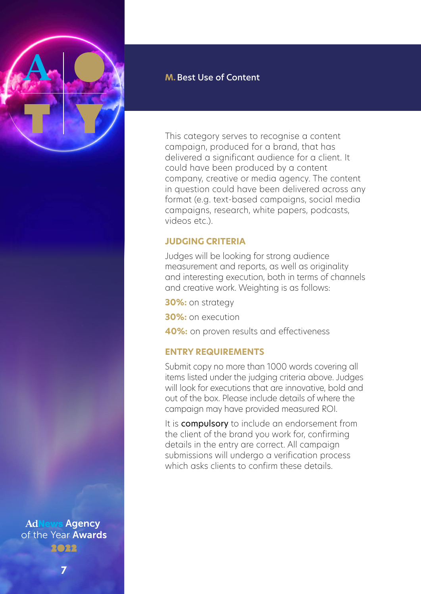

### **M.**Best Use of Content

This category serves to recognise a content campaign, produced for a brand, that has delivered a significant audience for a client. It could have been produced by a content company, creative or media agency. The content in question could have been delivered across any format (e.g. text-based campaigns, social media campaigns, research, white papers, podcasts, videos etc.).

### **JUDGING CRITERIA**

Judges will be looking for strong audience measurement and reports, as well as originality and interesting execution, both in terms of channels and creative work. Weighting is as follows:

**30%:** on strategy

**30%:** on execution

**40%:** on proven results and effectiveness

### **ENTRY REQUIREMENTS**

Submit copy no more than 1000 words covering all items listed under the judging criteria above. Judges will look for executions that are innovative, bold and out of the box. Please include details of where the campaign may have provided measured ROI.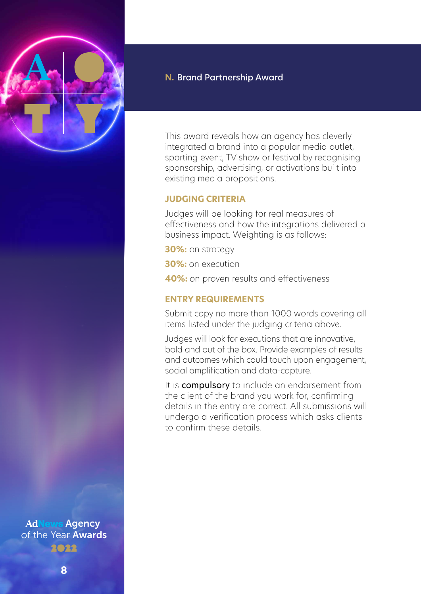

### **N.** Brand Partnership Award

This award reveals how an agency has cleverly integrated a brand into a popular media outlet, sporting event, TV show or festival by recognising sponsorship, advertising, or activations built into existing media propositions.

### **JUDGING CRITERIA**

Judges will be looking for real measures of effectiveness and how the integrations delivered a business impact. Weighting is as follows:

**30%:** on strategy

**30%:** on execution

**40%:** on proven results and effectiveness

### **ENTRY REQUIREMENTS**

Submit copy no more than 1000 words covering all items listed under the judging criteria above.

Judges will look for executions that are innovative, bold and out of the box. Provide examples of results and outcomes which could touch upon engagement, social amplification and data-capture.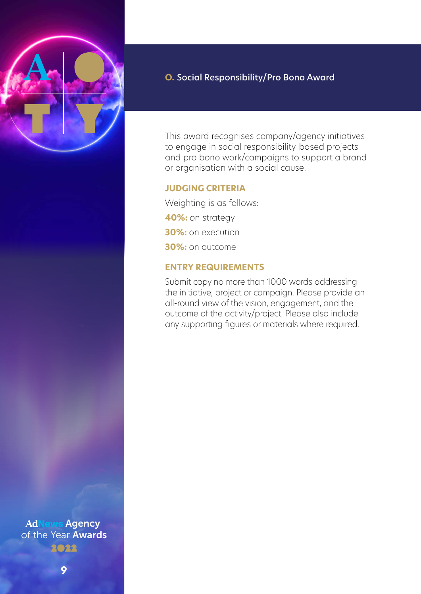

### **O.** Social Responsibility/Pro Bono Award

This award recognises company/agency initiatives to engage in social responsibility-based projects and pro bono work/campaigns to support a brand or organisation with a social cause.

### **JUDGING CRITERIA**

Weighting is as follows: **40%:** on strategy **30%:** on execution **30%:** on outcome

### **ENTRY REQUIREMENTS**

Submit copy no more than 1000 words addressing the initiative, project or campaign. Please provide an all-round view of the vision, engagement, and the outcome of the activity/project. Please also include any supporting figures or materials where required.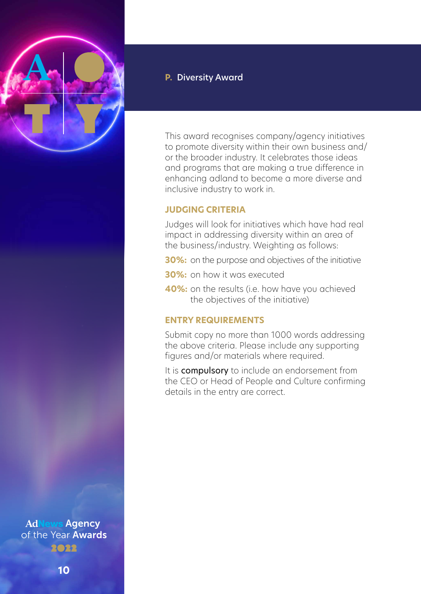

### **P.** Diversity Award

This award recognises company/agency initiatives to promote diversity within their own business and/ or the broader industry. It celebrates those ideas and programs that are making a true difference in enhancing adland to become a more diverse and inclusive industry to work in.

### **JUDGING CRITERIA**

Judges will look for initiatives which have had real impact in addressing diversity within an area of the business/industry. Weighting as follows:

- **30%:** on the purpose and objectives of the initiative
- **30%:** on how it was executed
- **40%:** on the results (i.e. how have you achieved the objectives of the initiative)

### **ENTRY REQUIREMENTS**

Submit copy no more than 1000 words addressing the above criteria. Please include any supporting figures and/or materials where required.

It is **compulsory** to include an endorsement from the CEO or Head of People and Culture confirming details in the entry are correct.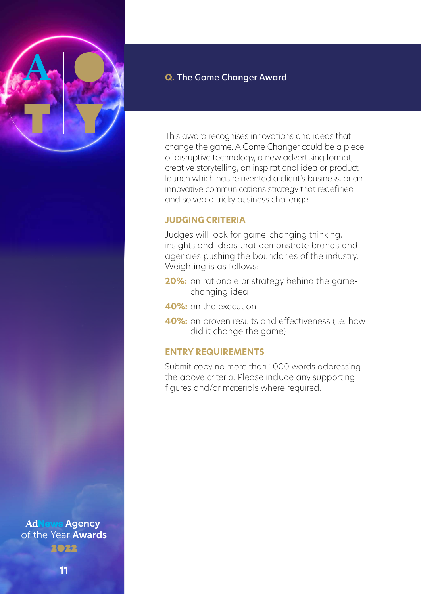

### **Q.** The Game Changer Award

This award recognises innovations and ideas that change the game. A Game Changer could be a piece of disruptive technology, a new advertising format, creative storytelling, an inspirational idea or product launch which has reinvented a client's business, or an innovative communications strategy that redefined and solved a tricky business challenge.

### **JUDGING CRITERIA**

Judges will look for game-changing thinking, insights and ideas that demonstrate brands and agencies pushing the boundaries of the industry. Weighting is as follows:

- **20%:** on rationale or strategy behind the gamechanging idea
- **40%:** on the execution
- **40%:** on proven results and effectiveness (i.e. how did it change the game)

### **ENTRY REQUIREMENTS**

Submit copy no more than 1000 words addressing the above criteria. Please include any supporting figures and/or materials where required.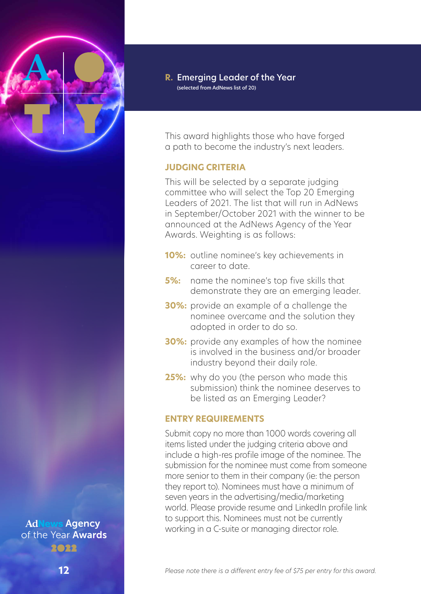

This award highlights those who have forged a path to become the industry's next leaders.

### **JUDGING CRITERIA**

This will be selected by a separate judging committee who will select the Top 20 Emerging Leaders of 2021. The list that will run in AdNews in September/October 2021 with the winner to be announced at the AdNews Agency of the Year Awards. Weighting is as follows:

- **10%:** outline nominee's key achievements in career to date.
- **5%:** name the nominee's top five skills that demonstrate they are an emerging leader.
- **30%:** provide an example of a challenge the nominee overcame and the solution they adopted in order to do so.
- **30%:** provide any examples of how the nominee is involved in the business and/or broader industry beyond their daily role.
- **25%:** why do you (the person who made this submission) think the nominee deserves to be listed as an Emerging Leader?

### **ENTRY REQUIREMENTS**

Submit copy no more than 1000 words covering all items listed under the judging criteria above and include a high-res profile image of the nominee. The submission for the nominee must come from someone more senior to them in their company (ie: the person they report to). Nominees must have a minimum of seven years in the advertising/media/marketing world. Please provide resume and LinkedIn profile link to support this. Nominees must not be currently working in a C-suite or managing director role.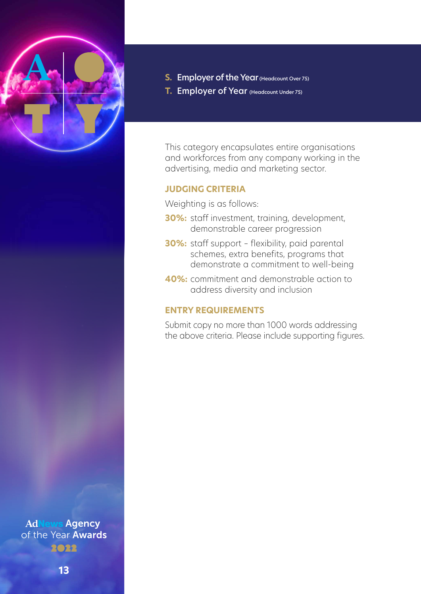

- **S.** Employer of the Year (Headcount Over 75)
- **T.** Employer of Year (Headcount Under 75)

This category encapsulates entire organisations and workforces from any company working in the advertising, media and marketing sector.

### **JUDGING CRITERIA**

Weighting is as follows:

- **30%:** staff investment, training, development, demonstrable career progression
- **30%:** staff support flexibility, paid parental schemes, extra benefits, programs that demonstrate a commitment to well-being
- **40%:** commitment and demonstrable action to address diversity and inclusion

### **ENTRY REQUIREMENTS**

Submit copy no more than 1000 words addressing the above criteria. Please include supporting figures.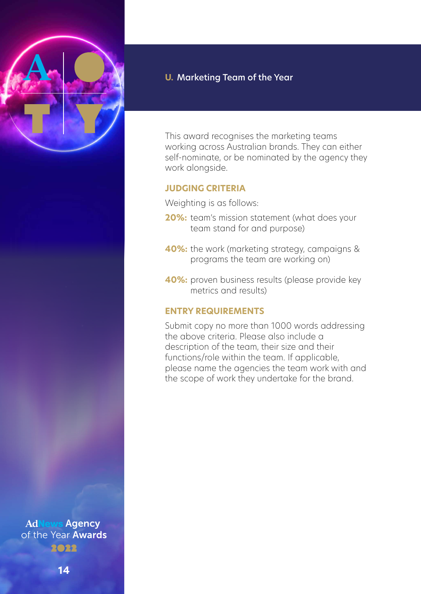

### **U.** Marketing Team of the Year

This award recognises the marketing teams working across Australian brands. They can either self-nominate, or be nominated by the agency they work alongside.

### **JUDGING CRITERIA**

Weighting is as follows:

- **20%:** team's mission statement (what does your team stand for and purpose)
- **40%:** the work (marketing strategy, campaigns & programs the team are working on)
- **40%:** proven business results (please provide key metrics and results)

### **ENTRY REQUIREMENTS**

Submit copy no more than 1000 words addressing the above criteria. Please also include a description of the team, their size and their functions/role within the team. If applicable, please name the agencies the team work with and the scope of work they undertake for the brand.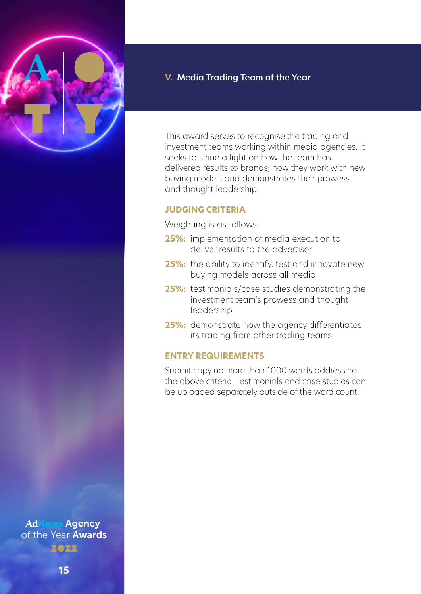

**V.** Media Trading Team of the Year

This award serves to recognise the trading and investment teams working within media agencies. It seeks to shine a light on how the team has delivered results to brands; how they work with new buying models and demonstrates their prowess and thought leadership.

### **JUDGING CRITERIA**

Weighting is as follows:

- **25%:** implementation of media execution to deliver results to the advertiser
- **25%:** the ability to identify, test and innovate new buying models across all media
- **25%:** testimonials/case studies demonstrating the investment team's prowess and thought leadership
- **25%:** demonstrate how the agency differentiates its trading from other trading teams

### **ENTRY REQUIREMENTS**

Submit copy no more than 1000 words addressing the above criteria. Testimonials and case studies can be uploaded separately outside of the word count.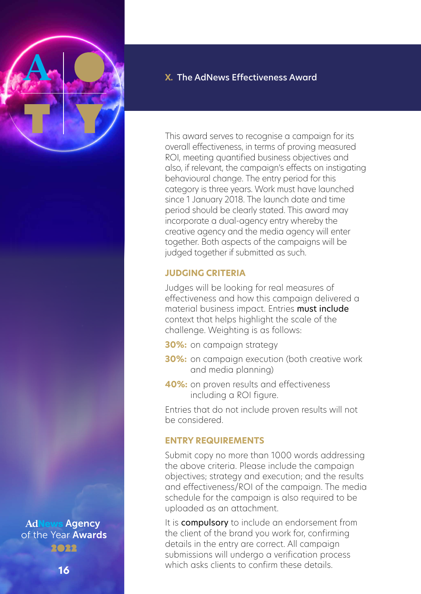

### **X.** The AdNews Effectiveness Award

This award serves to recognise a campaign for its overall effectiveness, in terms of proving measured ROI, meeting quantified business objectives and also, if relevant, the campaign's effects on instigating behavioural change. The entry period for this category is three years. Work must have launched since 1 January 2018. The launch date and time period should be clearly stated. This award may incorporate a dual-agency entry whereby the creative agency and the media agency will enter together. Both aspects of the campaigns will be judged together if submitted as such.

### **JUDGING CRITERIA**

Judges will be looking for real measures of effectiveness and how this campaign delivered a material business impact. Entries must include context that helps highlight the scale of the challenge. Weighting is as follows:

- **30%:** on campaign strategy
- **30%:** on campaign execution (both creative work and media planning)
- **40%:** on proven results and effectiveness including a ROI figure.

Entries that do not include proven results will not be considered.

### **ENTRY REQUIREMENTS**

Submit copy no more than 1000 words addressing the above criteria. Please include the campaign objectives; strategy and execution; and the results and effectiveness/ROI of the campaign. The media schedule for the campaign is also required to be uploaded as an attachment.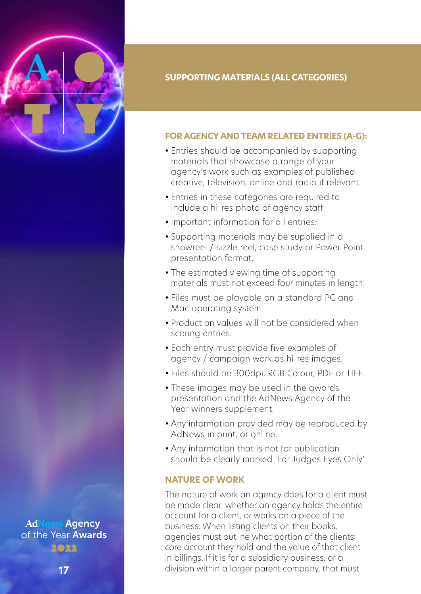

### **SUPPORTING MATERIALS (ALL CATEGORIES)**

### **FOR AGENCY AND TEAM RELATED ENTRIES (A-G):**

- Entries should be accompanied by supporting materials that showcase a range of your agency's work such as examples of published creative, television, online and radio if relevant.
- Entries in these categories are required to include a hi-res photo of agency staff.
- Important information for all entries:
- Supporting materials may be supplied in a showreel / sizzle reel, case study or Power Point presentation format.
- The estimated viewing time of supporting materials must not exceed four minutes in length.
- Files must be playable on a standard PC and Mac operating system.
- Production values will not be considered when scoring entries.
- Each entry must provide five examples of agency / campaign work as hi-res images.
- Files should be 300dpi, RGB Colour, PDF or TIFF.
- These images may be used in the awards presentation and the AdNews Agency of the Year winners supplement.
- Any information provided may be reproduced by AdNews in print, or online.
- Any information that is not for publication should be clearly marked 'For Judges Eyes Only'.

### **NATURE OF WORK**

The nature of work an agency does for a client must be made clear, whether an agency holds the entire account for a client, or works on a piece of the business. When listing clients on their books, agencies must outline what portion of the clients' core account they hold and the value of that client in billings. If it is for a subsidiary business, or a division within a larger parent company, that must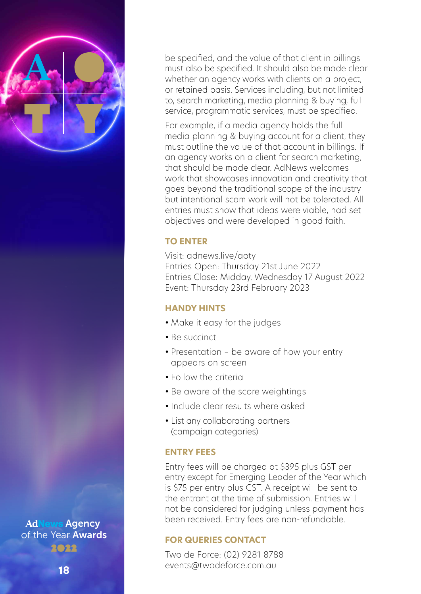

be specified, and the value of that client in billings must also be specified. It should also be made clear whether an agency works with clients on a project, or retained basis. Services including, but not limited to, search marketing, media planning & buying, full service, programmatic services, must be specified.

For example, if a media agency holds the full media planning & buying account for a client, they must outline the value of that account in billings. If an agency works on a client for search marketing, that should be made clear. AdNews welcomes work that showcases innovation and creativity that goes beyond the traditional scope of the industry but intentional scam work will not be tolerated. All entries must show that ideas were viable, had set objectives and were developed in good faith.

### **TO ENTER**

Visit: adnews.live/aoty Entries Open: Thursday 21st June 2022 Entries Close: Midday, Wednesday 17 August 2022 Event: Thursday 23rd February 2023

### **HANDY HINTS**

- Make it easy for the judges
- Be succinct
- Presentation be aware of how your entry appears on screen
- Follow the criteria
- Be aware of the score weightings
- Include clear results where asked
- List any collaborating partners (campaign categories)

### **ENTRY FEES**

Entry fees will be charged at \$395 plus GST per entry except for Emerging Leader of the Year which is \$75 per entry plus GST. A receipt will be sent to the entrant at the time of submission. Entries will not be considered for judging unless payment has been received. Entry fees are non-refundable.

### **FOR QUERIES CONTACT**

Two de Force: (02) 9281 8788 events@twodeforce.com.au